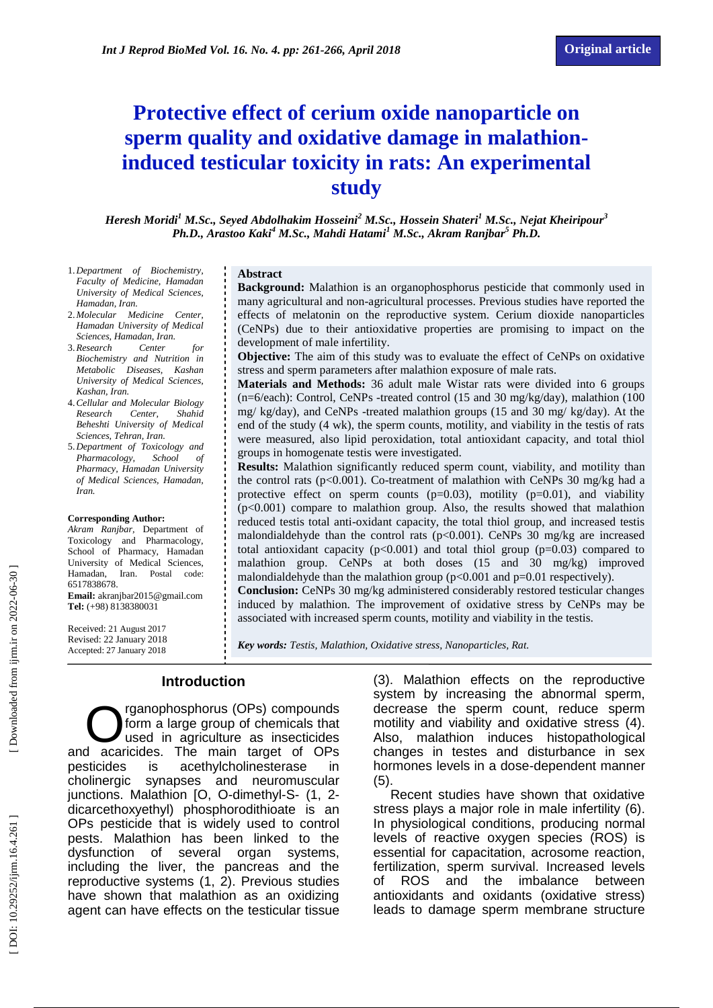# **Protective effect of cerium oxide nanoparticle on sperm quality and oxidative damage in malathion induced testicular toxicity in rats: An experimental study**

*Heresh Moridi <sup>1</sup> M.Sc., Seyed Abdolhakim Hosseini <sup>2</sup> M.Sc., Hossein Shateri <sup>1</sup> M.Sc., Nejat Kheiripour<sup>3</sup> Ph.D., Arastoo Kaki <sup>4</sup> M.Sc., Mahdi Hatami <sup>1</sup> M.Sc., Akram Ranjbar<sup>5</sup> Ph.D.*

- 1 .*Department of Biochemistry, Faculty of Medicine, Hamadan University of Medical Sciences, Hamadan, Iran.*
- 2 .*Molecular Medicine Center, Hamadan University of Medical Sciences, Hamadan, Iran.*
- 3 .*Research Center for Biochemistry and Nutrition in Metabolic Diseases, Kashan University of Medical Sciences, Kashan, Iran.*
- 4 .*Cellular and Molecular Biology Research Center, Shahid Beheshti University of Medical Sciences, Tehran, Iran.*
- 5 .*Department of Toxicology and Pharmacology, School of Pharmacy, Hamadan University of Medical Sciences, Hamadan, Iran.*

#### **Corresponding Author:**

*Akram Ranjbar,* Department of Toxicology and Pharmacology, School of Pharmacy, Hamadan University of Medical Sciences, Hamadan, Iran. Postal code: 6517838678. **Email:** akranjbar2015@gmail.com

**Tel:** (+98) 8138380031

Received : 21 August 2017 Revised: 22 January 2018 Accepted: 2 7 January 2018

#### **Abstract**

**Background:** Malathion is an organophosphorus pesticide that commonly used in many agricultural and non -agricultural processes. Previous studies have reported the effects of melatonin on the reproductive system. Cerium dioxide nanoparticles (CeNPs) due to their antioxidative properties are promising to impact on the development of male infertility.

**Objective:** The aim of this study was to evaluate the effect of CeNPs on oxidative stress and sperm parameters after malathion exposure of male rats.

**Materials and Methods:** 36 adult male Wistar rats were divided into 6 groups (n=6/each): Control, CeNPs -treated control (15 and 30 mg/kg/day), malathion (100 mg/ kg/day), and CeNPs -treated malathion groups (15 and 30 mg/ kg/day). At the end of the study (4 wk), the sperm counts, motility, and viability in the testis of rats were measured, also lipid peroxidation, total antioxidant capacity, and total thiol groups in homogenate testis were investigated.

**Results:** Malathion significantly reduced sperm count, viability, and motility than the control rats  $(p<0.001)$ . Co-treatment of malathion with CeNPs 30 mg/kg had a protective effect on sperm counts ( $p=0.03$ ), motility ( $p=0.01$ ), and viability ( $p<0.001$ ) compare to malathion group. Also, the results showed that malathion reduced testis total anti-oxidant capacity, the total thiol group, and increased testis malondialdehyde than the control rats (p<0.001). CeNPs 30 mg/kg are increased total antioxidant capacity ( $p<0.001$ ) and total thiol group ( $p=0.03$ ) compared to malathion group. CeNPs at both doses (15 and 30 mg/kg) improved malondialdehyde than the malathion group  $(p<0.001$  and  $p=0.01$  respectively).

**Conclusion:** CeNPs 30 mg/kg administered considerably restored testicular changes induced by malathion. The improvement of oxidative stress by CeNPs may be associated with increased sperm counts, motility and viability in the testis.

*Key words: Testis, Malathion, Oxidative stress, Nanoparticles, Rat.*

#### **Introduction**

rganophosphorus (OPs) compounds form a large group of chemicals that used in agriculture as insecticides **C** rganophosphorus (OPs) compounds<br>form a large group of chemicals that<br>and acaricides. The main target of OPs pesticides is acethylcholinesterase in cholinergic synapses and neuromuscular junctions. Malathion [O, O-dimethyl-S- (1, 2dicarcethoxyethyl) phosphorodithioate is an OPs pesticide that is widely used to control pests. Malathion has been linked to the dysfunction of several organ systems, including the liver, the pancreas and the reproductive systems ( 1, 2 ) . Previous studies have shown that malathion as an oxidizing agent can have effects on the testicular tissue

( 3 ). Malathion effects on the reproductive system by increasing the abnormal sperm, decrease the sperm count, reduce sperm motility and viability and oxidative stress ( 4 ). Also , malathion induce s histopathological changes in testes and disturbance in sex hormones levels in a dose -dependent manner  $(5)$ .

Recent studies have shown that oxidative stress plays a major role in male infertility ( 6 ). In physiological conditions, producing normal levels of reactive oxygen species (ROS) is essential for capacitation, acrosome reaction, fertilization, sperm survival. Increased levels of ROS and the imbalance between antioxidants and oxidants (oxidative stress) leads to damage sperm membrane structure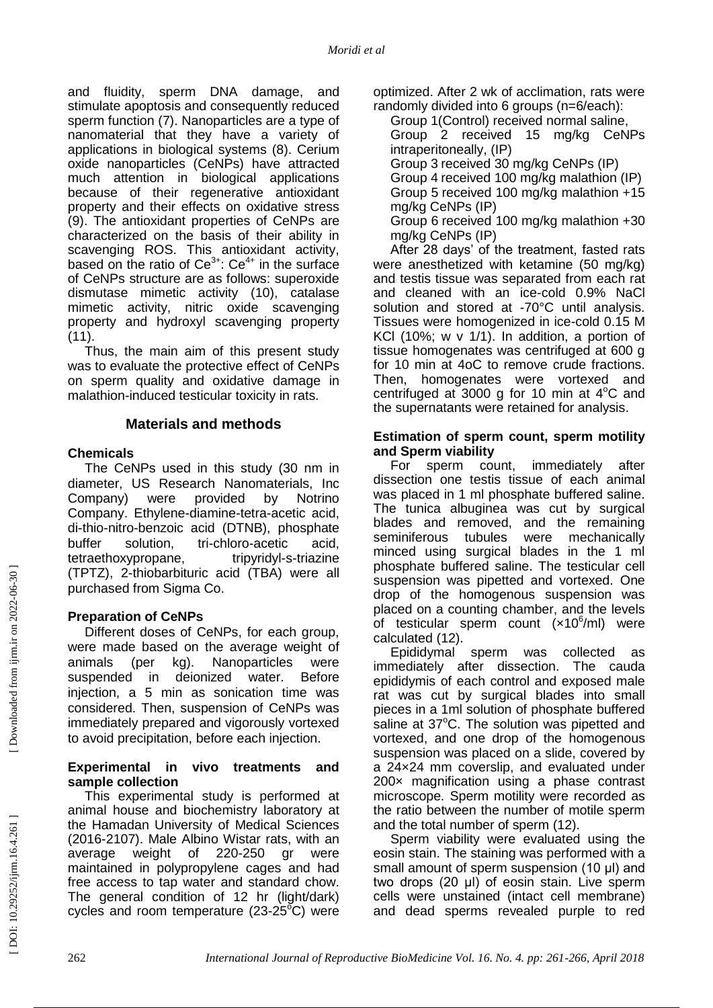and fluidity, sperm DNA damage , and stimulate apoptosis and consequently reduced sperm function ( 7 ). Nanoparticles are a type of nanomaterial that they have a variety of applications in biological systems ( 8 ). Cerium oxide nanoparticles (CeNPs) have attracted much attention in biological applications because of their regenerative antioxidant property and their effects on oxidative stress (9). The antioxidant properties of CeNPs are characterized on the basis of their ability in scavenging ROS. This antioxidant activity, based on the ratio of  $Ce^{3+}$ :  $Ce^{4+}$  in the surface of CeNPs structure are as follows: superoxide dismutase mimetic activity (10 ), catalase mimetic activity, nitric oxide scavenging property and hydroxyl scavenging property (11).

Thus, the main aim of this present study was to evaluate the protective effect of CeNPs on sperm quality and oxidative damage in malathion -induced testicular toxicity in rats.

# **Materials and methods**

# **Chemicals**

The CeNPs used in this study (30 nm in diameter, US Research Nanomaterials, Inc Company) were provided by Notrino Company. Ethylene-diamine-tetra-acetic acid, di -thio -nitro -benzoic acid (DTNB), phosphate buffer solution. -chloro -acetic acid, tetraethoxypropane, - s - t riazine (TPTZ), 2 -thiobarbituric acid (TBA) were all purchased from Sigma Co.

# **Preparation of CeNP s**

Different doses of CeNPs, for each group, were made based on the average weight of animals (per kg). Nanoparticles were suspended in deionized water. Before injection, a 5 min as sonication time was considered. Then, suspension of CeNPs was immediately prepared and vigorously vortexed to avoid precipitation, before each injection.

#### **Experimental in vivo treatments and sample collection**

This experimental study is performed at animal house and biochemistry laboratory at the Hamadan University of Medical Sciences (2016 -2107). Male Albino Wistar rats, with an average weight of 220-250 gr were maintained in polypropylene cages and had free access to tap water and standard chow. The general condition of 12 hr (light/dark) cycles and room temperature (23-25 $\mathrm{°C}$ ) were optimized. After 2 wk of acclimation, rats were randomly divided into 6 groups (n= 6/each):

Group 1 (Control ) received normal saline , Group 2 received 15 mg/kg CeNPs intraperitoneally, (IP) Group 3 received 30 mg/kg CeNPs (IP) Group 4 received 100 mg/kg malathion (IP)

Group 5 received 100 mg/kg malathion +15 mg/kg CeNPs (IP)

Group 6 received 100 mg/kg malathion +30 mg/kg CeNPs (IP)

After 28 days' of the treatment, fasted rats were anesthetized with ketamine (50 mg/kg) and testis tissue was separated from each rat and cleaned with an ice -cold 0.9% NaCl solution and stored at -70°C until analysis. Tissues were homogenized in ice -cold 0.15 M KCl (10%; w v 1/1). In addition, a portion of tissue homogenates was centrifuged at 600 g for 10 min at 4 oC to remove crude fractions. Then, homogenates were vortexed and centrifuged at  $3000$  g for 10 min at  $4^{\circ}$ C and the supernatants were retained for analysis .

#### **Estimation of sperm count, sperm motility and Sperm viability**

For sperm count, immediately after dissection one testis tissue of each animal was placed in 1 ml phosphate buffered saline. The tunica albuginea was cut by surgical blades and removed, and the remaining seminiferous tubules were mechanically minced using surgical blades in the 1 ml phosphate buffered saline. The testicular cell suspension was pipetted and vortexed. One drop of the homogenous suspension was placed on a counting chamber, and the levels of testicular sperm count (x10<sup>6</sup>/ml) were calculated (12 ) .

Epididymal sperm was collected as immediately after dissection. The cauda epididymis of each control and exposed male rat was cut by surgical blades into small pieces in a 1ml solution of phosphate buffered saline at 37°C. The solution was pipetted and vortexed, and one drop of the homogenous suspension was placed on a slide, covered by a 24×24 mm coverslip, and evaluated under 200× magnification using a phase contrast microscope. Sperm motility were recorded as the ratio between the number of motile sperm and the total number of sperm (12 ) .

Sperm viability were evaluated using the eosin stain. The staining was performed with a small amount of sperm suspension (10 μl) and two drops (20 μl) of eosin stain. Live sperm cells were unstained (intact cell membrane) and dead sperms revealed purple to red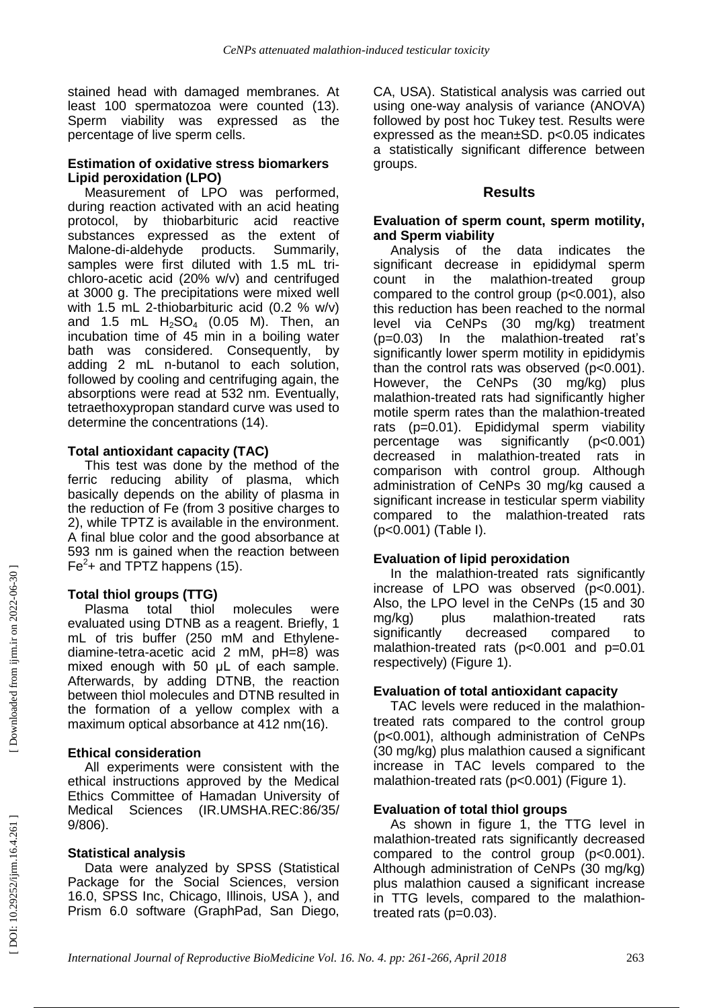stained head with damaged membranes. At least 100 spermatozoa were counted (13 ). Sperm viability was expressed as the percentage of live sperm cells.

#### **Estimation of oxidative stress biomarkers Lipid peroxidation (LPO)**

Measurement of LPO was performed, during reaction activated with an acid heating protocol, by thiobarbituric acid reactive substances expressed as the extent of Malone -di products. Summarily, samples were first diluted with 1.5 mL tri chloro -acetic acid (20% w/v) and centrifuged at 3000 g. The precipitations were mixed well with 1.5 mL 2 -thiobarbituric acid (0.2 % w/v) and 1.5 mL H <sup>2</sup>SO <sup>4</sup> (0.05 M). Then, an incubation time of 45 min in a boiling water bath was considered. Consequently, by adding 2 mL n -butanol to each solution, followed by cooling and centrifuging again, the absorptions were read at 532 nm. Eventually, tetraethoxypropan standard curve was used to determine the concentrations (14 ) .

#### **Total antioxidant capacity (TAC)**

This test was done by the method of the ferric reducing ability of plasma, which basically depends on the ability of plasma in the reduction of Fe (from 3 positive charges to 2), while TPTZ is available in the environment. A final blue color and the good absorbance at 593 nm is gained when the reaction between Fe<sup>2</sup>+ and TPTZ happens (15).

## **Total thiol groups (TTG)**

Plasma total thiol molecules were evaluated using DTNB as a reagent. Briefly, 1 mL of tris buffer (250 mM and Ethylene diamine -tetra -acetic acid 2 mM, pH=8) was mixed enough with 50 μL of each sample. Afterwards, by adding DTNB, the reaction between thiol molecules and DTNB resulted in the formation of a yellow complex with a maximum optical absorbance at 412 nm (16 ) .

#### **Ethical consideration**

All experiments were consistent with the ethical instructions approved by the Medical Ethics Committee of Hamadan University of Medical Sciences (IR.UMSHA.REC:86/35/ 9/806) .

#### **Statistical analysis**

Data were analyzed by SPSS (Statistical Package for the Social Sciences, version 16.0, SPSS Inc, Chicago, Illinois, USA ), and Prism 6.0 software (GraphPad, San Diego,

CA, USA). Statistical analysis was carried out using one -way analysis of variance (ANOVA) followed by post hoc Tukey test. Results were expressed as the mean±SD. p<0.05 indicates a statistically significant difference between groups .

#### **Results**

#### **Evaluation of sperm count, sperm motility , and Sperm viability**

Analysis of the data indicates the significant decrease in epididymal sperm count in the malathion -treated group compared to the control group (p<0.001 ), also this reduction has been reached to the normal level via CeNPs (30 mg/kg) treatment (p=0.03) In the malathion -treated rat's significantly lower sperm motility in epididymis than the control rats was observed (p<0.001). However, the CeNPs (30 mg/kg) plus malathion -treated rats had significantly higher motile sperm rates than the malathion -treated rats (p=0.01). Epididymal sperm viability percentage was significantly  $(p<0.001)$ decreased in malathion -treated rats in comparison with control group. Although administration of CeNPs 30 mg/kg caused a significant increase in testicular sperm viability compared to the malathion -treated rats (p<0.001 ) (Table I).

## **Evaluation of lipid peroxidation**

In the malathion -treated rats significantly increase of LPO was observed (p<0.001). Also, the LPO level in the CeNPs (15 and 30 mg/kg) plus malathion -treated rats significantly decreased compared to malathion -treated rats (p<0.001 and p=0.01 respectively) (Figure 1).

## **Evaluation of total antioxidant capacity**

TAC levels were reduced in the malathion treated rats compared to the control group (p<0.001), although administration of CeNPs (30 mg/kg) plus malathion caused a significant increase in TAC levels compared to the malathion -treated rats (p<0.001 ) (Figure 1).

#### **Evaluation of total thiol groups**

As shown in figure 1, the TTG level in malathion -treated rats significantly decreased compared to the control group (p<0.001). Although administration of CeNPs (30 mg/kg) plus malathion caused a significant increase in TTG levels, compare d to the malathion treated rats (p=0.03).

DOI: 10.29252/ijrm.16.4.261]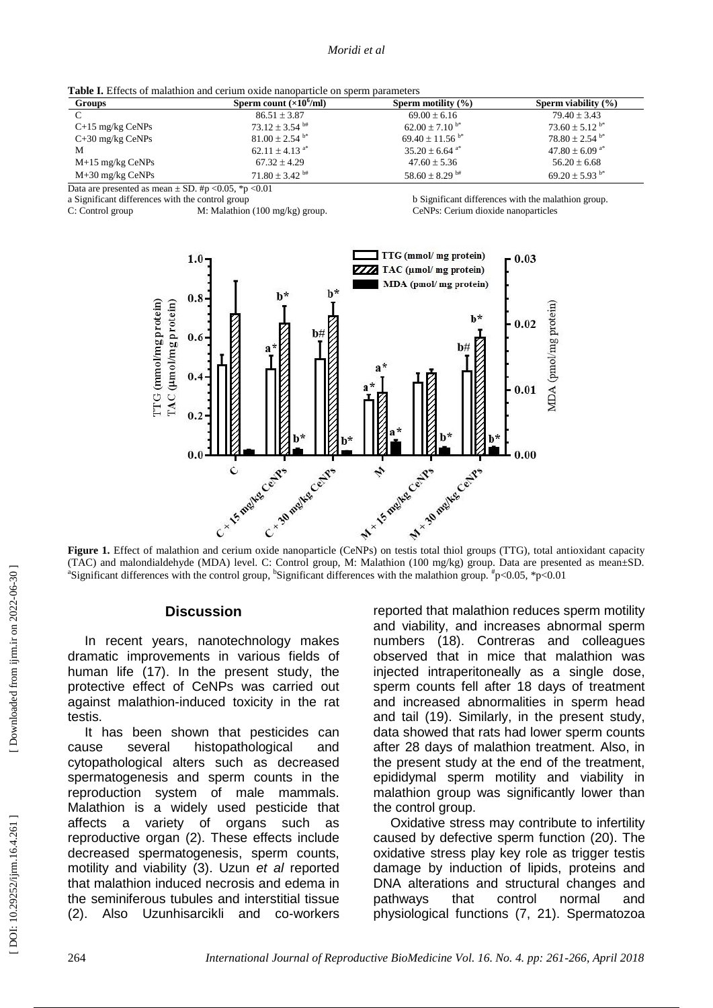**Table I.** Effects of malathion and cerium oxide nanoparticle on sperm parameters

| <b>Groups</b>        | Sperm count $(\times 10^6$ /ml) | Sperm motility $(\% )$         | Sperm viability $(\% )$        |
|----------------------|---------------------------------|--------------------------------|--------------------------------|
| $\sqrt{ }$           | $86.51 \pm 3.87$                | $69.00 \pm 6.16$               | $79.40 \pm 3.43$               |
| $C+15$ mg/kg $CeNPs$ | $73.12 + 3.54$ <sup>b#</sup>    | $62.00 \pm 7.10^{b*}$          | $73.60 + 5.12^{b*}$            |
| $C+30$ mg/kg $CeNPs$ | $81.00 \pm 2.54$ <sup>b*</sup>  | $69.40 + 11.56^{b*}$           | $78.80 \pm 2.54$ b*            |
| M                    | 62.11 $\pm$ 4.13 <sup>a*</sup>  | $35.20 \pm 6.64$ <sup>a*</sup> | $47.80 \pm 6.09$ <sup>a*</sup> |
| $M+15$ mg/kg CeNPs   | $67.32 \pm 4.29$                | $47.60 \pm 5.36$               | $56.20 \pm 6.68$               |
| $M+30$ mg/kg CeNPs   | $71.80 \pm 3.42$ <sup>b#</sup>  | $58.60 \pm 8.29$ <sup>b#</sup> | $69.20 \pm 5.93$ <sup>b*</sup> |

Data are presented as mean  $\pm$  SD. #p <0.05, \*p <0.01

a Significant differences with the control group<br>C: Control group<br>M: Malathion (100 mg/kg) group.

C: Control group M: Malathion (100 mg/kg) group. CeNPs: Cerium dioxide nanoparticles

b Significant differences with the malathion group.



(TAC) and malondialdehyde (MDA) level. C: Control group, M: Malathion (100 mg/kg) group. Data are presented as mean±SD. <sup>a</sup> Significant differences with the control group, <sup>b</sup>Significant differences with the malathion group.  $*_{p<0.05, *p<0.01}$ 

## **Discussion**

In recent years, nanotechnology makes dramatic improvements in various fields of human life (17 ). In the present study, the protective effect of CeNPs was carried out against malathion -induced toxicity in the rat testis.

It has been shown that pesticides can cause several histopathological and cytopathological alters such as decreased spermatogenesis and sperm counts in the reproduction system of male mammals. Malathion is a widely used pesticide that affects a variety of organs such as reproductive organ ( 2 ). These effects include decreased spermatogenesis, sperm counts, motility and viability ( 3 ). Uzun *et al* reported that malathion induced necrosis and edema in the seminiferous tubules and interstitial tissue (2). Also Uzunhisarcikli and co-workers

reported that malathion reduces sperm motility and viability, and increases abnormal sperm numbers (18 ). Contreras and colleagues observed that in mice that malathion was injected intraperitoneally as a single dose, sperm counts fell after 18 days of treatment and increased abnormalities in sperm head and tail (19 ). Similarly, in the present study, data showed that rats had lower sperm counts after 28 days of malathion treatment. Also, in the present study at the end of the treatment, epididymal sperm motility and viability in malathion group was significantly lower than the control group.

Oxidative stress may contribute to infertility caused by defective sperm function (20 ). The oxidative stress play key role as trigger testis damage by induction of lipids, proteins and DNA alterations and structural changes and pathways that control normal and physiological functions ( 7, 21 ). Spermatozoa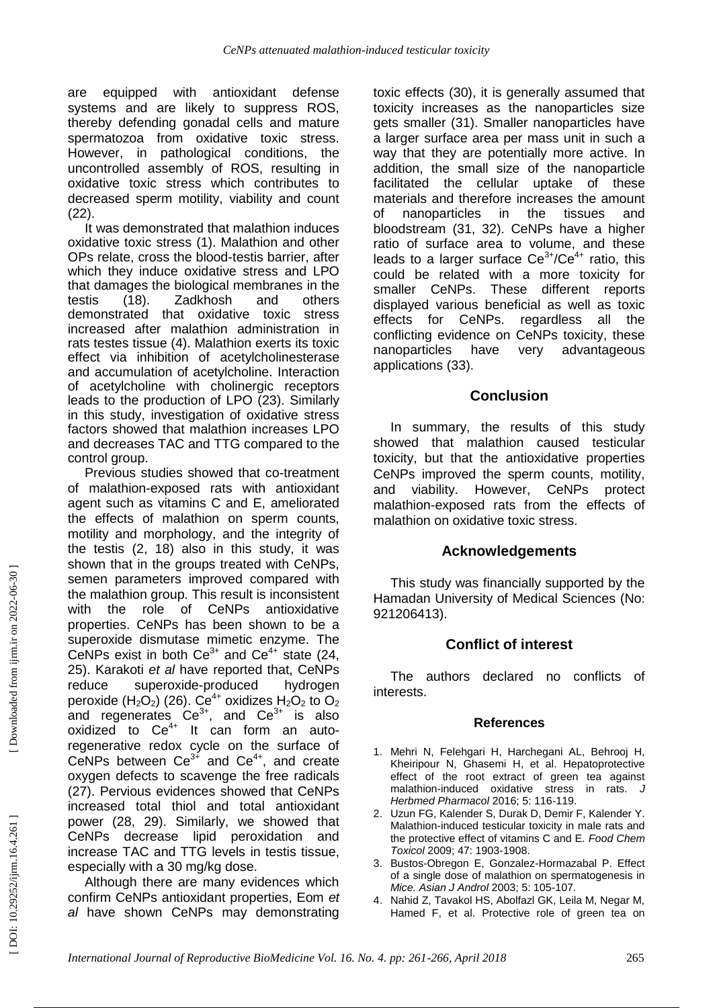are equipped with antioxidant defense systems and are likely to suppress ROS, thereby defending gonadal cells and mature spermatozoa from oxidative toxic stress. However, in pathological conditions, the uncontrolled assembly of ROS, resulting in oxidative toxic stress which contributes to decreased sperm motility, viability and count (22).

It was demonstrated that malathion induces oxidative toxic stress ( 1 ). Malathion and other OPs relate, cross the blood -testis barrier, after which they induce oxidative stress and LPO that damages the biological membranes in the testis  $(18)$ . ). Zadkhosh and others demonstrated that oxidative toxic stress increased after malathion administration in rats testes tissue ( 4 ). Malathion exerts its toxic effect via inhibition of acetylcholinesterase and accumulation of acetylcholine. Interaction of acetylcholine with cholinergic receptors leads to the production of LPO (23 ). Similarly in this study, investigation of oxidative stress factors showed that malathion increases LPO and decreases TAC and TTG compared to the control group.

Previous studies showed that co -treatment of malathion -exposed rats with antioxidant agent such as vitamins C and E, ameliorated the effects of malathion on sperm counts, motility and morphology, and the integrity of the testis ( 2, 18 ) also in this study, it was shown that in the groups treated with CeNPs, semen parameters improved compared with the malathion group. This result is inconsistent with the role of CeNPs antioxidative properties. CeNPs has been shown to be a superoxide dismutase mimetic enzyme. The CeNPs exist in both  $Ce^{3+}$  and  $Ce^{4+}$  state (24, 25 ). Karakoti *et al* have reported that, CeNPs reduce superoxide -produced hydrogen peroxide (H<sub>2</sub>O<sub>2</sub>) (26). Ce<sup>4+</sup> oxidizes H<sub>2</sub>O<sub>2</sub> to O<sub>2</sub> and regenerates  $Ce^{3+}$ , and  $Ce^{3+}$  is also oxidized to  $Ce^{4+}$  It can form an autoregenerative redox cycle on the surface of CeNPs between  $Ce^{3+}$  and  $Ce^{4+}$ , and create oxygen defects to scavenge the free radicals (27). Pervious evidences showed that CeNPs increased total thiol and total antioxidant power (28, 29 ). Similarly, we showed that CeNPs decrease lipid peroxidation and increase TAC and TTG levels in testis tissue, especially with a 30 mg/kg dose.

Although there are many evidences which confirm CeNPs antioxidant properties, Eom *et al* have shown CeNPs may demonstrating

toxic effects (30 ), it is generally assumed that toxicity increases as the nanoparticles size gets smaller (31 ). Smaller nanoparticles have a larger surface area per mass unit in such a way that they are potentially more active. In addition, the small size of the nanoparticle facilitated the cellular uptake of these materials and therefore increases the amount of nanoparticles in the tissues and bloodstream (31, 32 ). CeNPs have a higher ratio of surface area to volume, and these leads to a larger surface  $Ce^{3+}/Ce^{4+}$  ratio, this could be related with a more toxicity for smaller CeNPs. These different reports displayed various beneficial as well as toxic effects for CeNPs. regardless all the conflicting evidence on CeNPs toxicity, these nanoparticles have very advantageous applications (33 ) .

# **Conclusion**

In summary, the results of this study showed that malathion caused testicular toxicity, but that the antioxidative properties CeNPs improved the sperm counts, motility, and viability. However, CeNPs protect malathion -exposed rats from the effects of malathion on oxidative toxic stress.

# **Acknowledg ements**

This study was financially supported by the Hamadan University of Medical Sciences (No: 921206413).

# **Conflict of interest**

The authors declared no conflicts of interests.

## **References**

- 1 . Mehri N, Felehgari H, Harchegani AL, Behrooj H, Kheiripour N, Ghasemi H, et al. Hepatoprotective effect of the root extract of green tea against malathion -induced oxidative stress in rats. *J Herbmed Pharmacol* 2016; 5: 116 -119.
- 2 . Uzun FG, Kalender S, Durak D, Demir F, Kalender Y. Malathion -induced testicular toxicity in male rats and the protective effect of vitamins C and E. *Food Chem Toxicol* 2009; 47: 1903 -1908.
- 3 . Bustos -Obregon E, Gonzalez -Hormazabal P. Effect of a single dose of malathion on spermatogenesis in *Mice. Asian J Androl* 2003; 5: 105 -107.
- 4 . Nahid Z, Tavakol HS, Abolfazl GK, Leila M, Negar M, Hamed F, et al. Protective role of green tea on

DOI: 10.29252/ijrm.16.4.261]